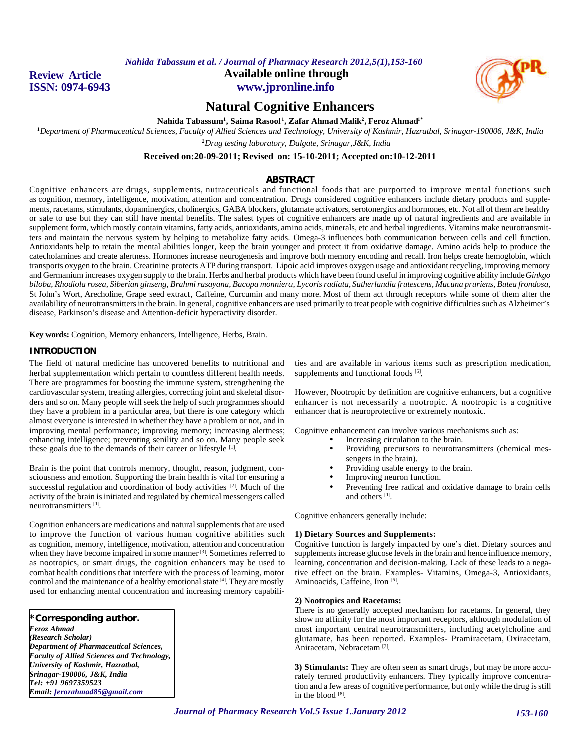**Review Article ISSN: 0974-6943** **Available online through www.jpronline.info**



# **Natural Cognitive Enhancers**

**Nahida Tabassum<sup>1</sup> , Saima Rasool <sup>1</sup> , Zafar Ahmad Malik<sup>2</sup> , Feroz Ahmad1\***

**<sup>1</sup>***Department of Pharmaceutical Sciences, Faculty of Allied Sciences and Technology, University of Kashmir, Hazratbal, Srinagar-190006, J&K, India <sup>2</sup>Drug testing laboratory, Dalgate, Srinagar,J&K, India*

**Received on:20-09-2011; Revised on: 15-10-2011; Accepted on:10-12-2011**

# **ABSTRACT**

Cognitive enhancers are drugs, supplements, nutraceuticals and functional foods that are purported to improve mental functions such as cognition, memory, intelligence, motivation, attention and concentration. Drugs considered cognitive enhancers include dietary products and supplements, racetams, stimulants, dopaminergics, cholinergics, GABA blockers, glutamate activators, serotonergics and hormones, etc. Not all of them are healthy or safe to use but they can still have mental benefits. The safest types of cognitive enhancers are made up of natural ingredients and are available in supplement form, which mostly contain vitamins, fatty acids, antioxidants, amino acids, minerals, etc and herbal ingredients. Vitamins make neurotransmitters and maintain the nervous system by helping to metabolize fatty acids. Omega-3 influences both communication between cells and cell function. Antioxidants help to retain the mental abilities longer, keep the brain younger and protect it from oxidative damage. Amino acids help to produce the catecholamines and create alertness. Hormones increase neurogenesis and improve both memory encoding and recall. Iron helps create hemoglobin, which transports oxygen to the brain. Creatinine protects ATP during transport. Lipoic acid improves oxygen usage and antioxidant recycling, improving memory and Germanium increases oxygen supply to the brain. Herbs and herbal products which have been found useful in improving cognitive ability include *Ginkgo biloba, Rhodiola rosea, Siberian ginseng, Brahmi rasayana, Bacopa monniera, Lycoris radiata*, *Sutherlandia frutescens, Mucuna pruriens, Butea frondosa,* St John's Wort, Arecholine, Grape seed extract*,* Caffeine, Curcumin and many more. Most of them act through receptors while some of them alter the availability of neurotransmitters in the brain. In general, cognitive enhancers are used primarily to treat people with cognitive difficulties such as Alzheimer's disease, Parkinson's disease and Attention-deficit hyperactivity disorder.

**Key words:** Cognition, Memory enhancers, Intelligence, Herbs, Brain.

# **INTRODUCTION**

The field of natural medicine has uncovered benefits to nutritional and herbal supplementation which pertain to countless different health needs. There are programmes for boosting the immune system, strengthening the cardiovascular system, treating allergies, correcting joint and skeletal disorders and so on. Many people will seek the help of such programmes should they have a problem in a particular area, but there is one category which almost everyone is interested in whether they have a problem or not, and in improving mental performance; improving memory; increasing alertness; enhancing intelligence; preventing senility and so on. Many people seek these goals due to the demands of their career or lifestyle [1].

Brain is the point that controls memory, thought, reason, judgment, consciousness and emotion. Supporting the brain health is vital for ensuring a successful regulation and coordination of body activities [2]. Much of the activity of the brain is initiated and regulated by chemical messengers called neurotransmitters<sup>[1]</sup>.

Cognition enhancers are medications and natural supplements that are used to improve the function of various human cognitive abilities such as cognition, memory, intelligence, motivation, attention and concentration when they have become impaired in some manner <sup>[3]</sup>. Sometimes referred to as nootropics, or smart drugs, the cognition enhancers may be used to combat health conditions that interfere with the process of learning, motor control and the maintenance of a healthy emotional state<sup>[4]</sup>. They are mostly used for enhancing mental concentration and increasing memory capabili-

# **\*Corresponding author.**

*Feroz Ahmad (Research Scholar) Department of Pharmaceutical Sciences, Faculty of Allied Sciences and Technology, University of Kashmir, Hazratbal, Srinagar-190006, J&K, India Tel: +91 9697359523 Email: ferozahmad85@gmail.com*

ties and are available in various items such as prescription medication, supplements and functional foods [5].

However, Nootropic by definition are cognitive enhancers, but a cognitive enhancer is not necessarily a nootropic. A nootropic is a cognitive enhancer that is neuroprotective or extremely nontoxic.

Cognitive enhancement can involve various mechanisms such as:

- Increasing circulation to the brain.
- Providing precursors to neurotransmitters (chemical messengers in the brain).
- Providing usable energy to the brain.
- Improving neuron function.
- Preventing free radical and oxidative damage to brain cells and others [1] .

Cognitive enhancers generally include:

#### **1) Dietary Sources and Supplements:**

Cognitive function is largely impacted by one's diet. Dietary sources and supplements increase glucose levels in the brain and hence influence memory, learning, concentration and decision-making. Lack of these leads to a negative effect on the brain. Examples- Vitamins, Omega-3, Antioxidants, Aminoacids, Caffeine, Iron [6].

# **2) Nootropics and Racetams:**

There is no generally accepted mechanism for racetams. In general, they show no affinity for the most important receptors, although modulation of most important central neurotransmitters, including acetylcholine and glutamate, has been reported. Examples- Pramiracetam, Oxiracetam, Aniracetam, Nebracetam [7] .

**3) Stimulants:** They are often seen as smart drugs*,* but may be more accurately termed productivity enhancers*.* They typically improve concentration and a few areas of cognitive performance, but only while the drug is still in the blood [8].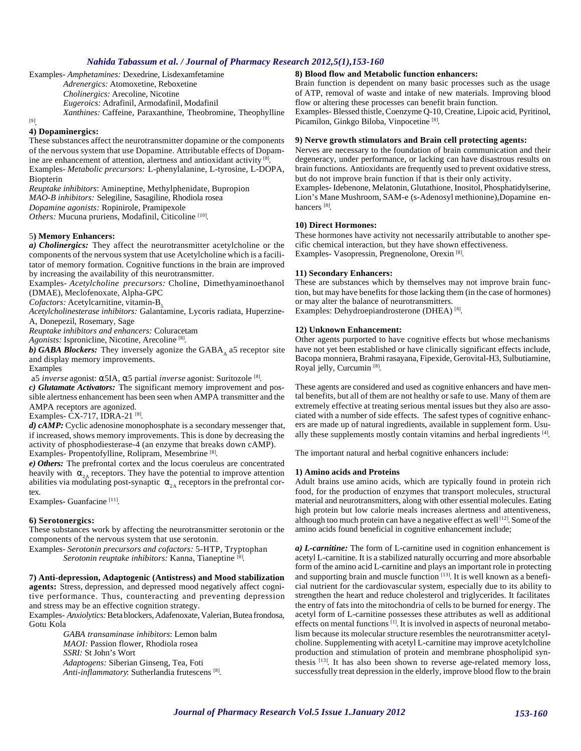Examples- *Amphetamines:* Dexedrine, Lisdexamfetamine *Adrenergics:* Atomoxetine, Reboxetine *Cholinergics:* Arecoline, Nicotine *Eugeroics:* Adrafinil, Armodafinil, Modafinil *Xanthines:* Caffeine, Paraxanthine, Theobromine, Theophylline

[9] .

#### **4) Dopaminergics:**

These substances affect the neurotransmitter dopamine or the components of the nervous system that use Dopamine. Attributable effects of Dopamine are enhancement of attention, alertness and antioxidant activity [8]. Examples- *Metabolic precursors:* L-phenylalanine, L-tyrosine, L-DOPA, Biopterin

*Reuptake inhibitors*: Amineptine, Methylphenidate, Bupropion

*MAO-B inhibitors:* Selegiline, Sasagiline, Rhodiola rosea

*Dopamine agonists:* Ropinirole, Pramipexole

Others: Mucuna pruriens, Modafinil, Citicoline<sup>[10]</sup>.

### 5**) Memory Enhancers:**

*a) Cholinergics:* They affect the neurotransmitter acetylcholine or the components of the nervous system that use Acetylcholine which is a facilitator of memory formation. Cognitive functions in the brain are improved by increasing the availability of this neurotransmitter.

Examples- *Acetylcholine precursors:* Choline, Dimethyaminoethanol (DMAE), Meclofenoxate, Alpha-GPC

Cofactors: Acetylcarnitine, vitamin-B<sub>5</sub>

*Acetylcholinesterase inhibitors:* Galantamine, Lycoris radiata, Huperzine-A, Donepezil, Rosemary, Sage

*Reuptake inhibitors and enhancers:* Coluracetam

Agonists: Ispronicline, Nicotine, Arecoline<sup>[8]</sup>.

b) GABA Blockers: They inversely agonize the GABA<sub>A</sub> a5 receptor site and display memory improvements.

Examples

a5 *inverse* agonist: α5IA, α5 partial *inverse* agonist: Suritozole<sup>[8]</sup>.

*c) Glutamate Activators:* The significant memory improvement and possible alertness enhancement has been seen when AMPA transmitter and the AMPA receptors are agonized.

Examples- CX-717, IDRA-21<sup>[8]</sup>.

*d) cAMP:* Cyclic adenosine monophosphate is a secondary messenger that, if increased, shows memory improvements. This is done by decreasing the activity of phosphodiesterase-4 (an enzyme that breaks down cAMP). Examples- Propentofylline, Rolipram, Mesembrine<sup>[8]</sup>.

*e) Others:* The prefrontal cortex and the locus coeruleus are concentrated heavily with  $\alpha_{2\lambda}$  receptors. They have the potential to improve attention abilities via modulating post-synaptic  $\alpha_{2A}$  receptors in the prefrontal cortex.

Examples- Guanfacine<sup>[11]</sup>.

#### **6) Serotonergics:**

These substances work by affecting the neurotransmitter serotonin or the components of the nervous system that use serotonin.

Examples- *Serotonin precursors and cofactors:* 5-HTP, Tryptophan Serotonin reuptake inhibitors: Kanna, Tianeptine<sup>[8]</sup>.

**7) Anti-depression, Adaptogenic (Antistress) and Mood stabilization agents:** Stress, depression, and depressed mood negatively affect cognitive performance. Thus, counteracting and preventing depression and stress may be an effective cognition strategy.

Examples- *Anxiolytics:* Beta blockers, Adafenoxate, Valerian, Butea frondosa, Gotu Kola

> *GABA transaminase inhibitors*: Lemon balm *MAOI:* Passion flower, Rhodiola rosea *SSRI:* St John's Wort *Adaptogens:* Siberian Ginseng, Tea, Foti Anti-inflammatory: Sutherlandia frutescens<sup>[8]</sup>.

# **8) Blood flow and Metabolic function enhancers:**

Brain function is dependent on many basic processes such as the usage of ATP, removal of waste and intake of new materials. Improving blood flow or altering these processes can benefit brain function.

Examples- Blessed thistle, Coenzyme Q-10, Creatine, Lipoic acid, Pyritinol, Picamilon, Ginkgo Biloba, Vinpocetine<sup>[8]</sup>.

# **9) Nerve growth stimulators and Brain cell protecting agents:**

Nerves are necessary to the foundation of brain communication and their degeneracy, under performance, or lacking can have disastrous results on brain functions. Antioxidants are frequently used to prevent oxidative stress, but do not improve brain function if that is their only activity.

Examples- Idebenone, Melatonin, Glutathione, Inositol, Phosphatidylserine, Lion's Mane Mushroom, SAM-e (s-Adenosyl methionine),Dopamine enhancers<sup>[8]</sup>.

# **10) Direct Hormones:**

These hormones have activity not necessarily attributable to another specific chemical interaction, but they have shown effectiveness. Examples- Vasopressin, Pregnenolone, Orexin<sup>[8]</sup>.

#### **11) Secondary Enhancers:**

These are substances which by themselves may not improve brain function, but may have benefits for those lacking them (in the case of hormones) or may alter the balance of neurotransmitters. Examples: Dehydroepiandrosterone (DHEA)<sup>[8]</sup>.

#### **12) Unknown Enhancement:**

Other agents purported to have cognitive effects but whose mechanisms have not yet been established or have clinically significant effects include, Bacopa monniera, Brahmi rasayana, Fipexide, Gerovital-H3, Sulbutiamine, Royal jelly, Curcumin<sup>[8]</sup>.

These agents are considered and used as cognitive enhancers and have mental benefits, but all of them are not healthy or safe to use. Many of them are extremely effective at treating serious mental issues but they also are associated with a number of side effects. The safest types of cognitive enhancers are made up of natural ingredients, available in supplement form. Usually these supplements mostly contain vitamins and herbal ingredients [4].

The important natural and herbal cognitive enhancers include:

#### **1) Amino acids and Proteins**

Adult brains use amino acids, which are typically found in protein rich food, for the production of enzymes that transport molecules, structural material and neurotransmitters, along with other essential molecules. Eating high protein but low calorie meals increases alertness and attentiveness, although too much protein can have a negative effect as well<sup>[12]</sup>. Some of the amino acids found beneficial in cognitive enhancement include;

*a) L-carnitine:* The form of L-carnitine used in cognition enhancement is acetyl L-carnitine. It is a stabilized naturally occurring and more absorbable form of the amino acid L-carnitine and plays an important role in protecting and supporting brain and muscle function  $[13]$ . It is well known as a beneficial nutrient for the cardiovascular system, especially due to its ability to strengthen the heart and reduce cholesterol and triglycerides. It facilitates the entry of fats into the mitochondria of cells to be burned for energy. The acetyl form of L-carnitine possesses these attributes as well as additional effects on mental functions  $[1]$ . It is involved in aspects of neuronal metabolism because its molecular structure resembles the neurotransmitter acetylcholine. Supplementing with acetyl L-carnitine may improve acetylcholine production and stimulation of protein and membrane phospholipid synthesis [13]. It has also been shown to reverse age-related memory loss, successfully treat depression in the elderly, improve blood flow to the brain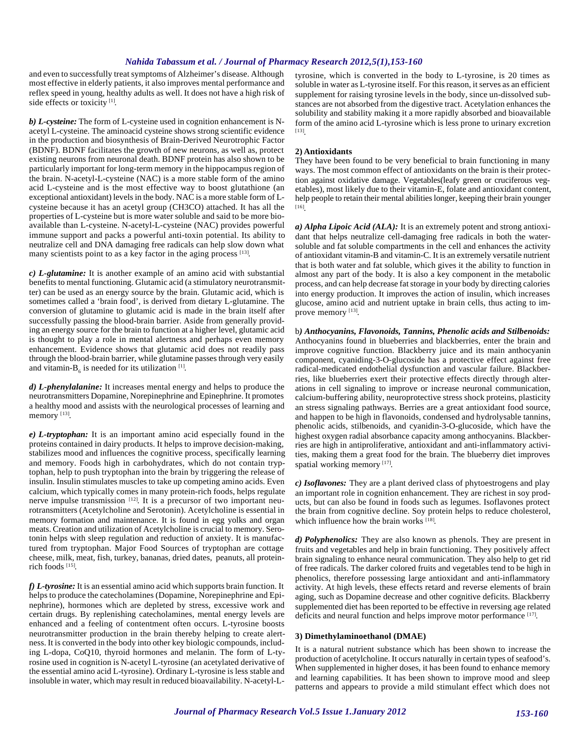and even to successfully treat symptoms of Alzheimer's disease. Although most effective in elderly patients, it also improves mental performance and reflex speed in young, healthy adults as well. It does not have a high risk of side effects or toxicity<sup>[1]</sup>.

*b) L-cysteine:* The form of L-cysteine used in cognition enhancement is Nacetyl L-cysteine. The aminoacid cysteine shows strong scientific evidence in the production and biosynthesis of Brain-Derived Neurotrophic Factor (BDNF). BDNF facilitates the growth of new neurons, as well as, protect existing neurons from neuronal death. BDNF protein has also shown to be particularly important for long-term memory in the hippocampus region of the brain. N-acetyl-L-cysteine (NAC) is a more stable form of the amino acid L-cysteine and is the most effective way to boost glutathione (an exceptional antioxidant) levels in the body. NAC is a more stable form of Lcysteine because it has an acetyl group (CH3CO) attached. It has all the properties of L-cysteine but is more water soluble and said to be more bioavailable than L-cysteine. N-acetyl-L-cysteine (NAC) provides powerful immune support and packs a powerful anti-toxin potential. Its ability to neutralize cell and DNA damaging free radicals can help slow down what many scientists point to as a key factor in the aging process [13].

*c) L-glutamine:* It is another example of an amino acid with substantial benefits to mental functioning. Glutamic acid (a stimulatory neurotransmitter) can be used as an energy source by the brain. Glutamic acid, which is sometimes called a 'brain food', is derived from dietary L-glutamine. The conversion of glutamine to glutamic acid is made in the brain itself after successfully passing the blood-brain barrier. Aside from generally providing an energy source for the brain to function at a higher level, glutamic acid is thought to play a role in mental alertness and perhaps even memory enhancement. Evidence shows that glutamic acid does not readily pass through the blood-brain barrier, while glutamine passes through very easily and vitamin- $B_6$  is needed for its utilization  $[1]$ .

*d) L-phenylalanine:* It increases mental energy and helps to produce the neurotransmitters Dopamine, Norepinephrine and Epinephrine. It promotes a healthy mood and assists with the neurological processes of learning and memory [13].

*e) L-tryptophan:* It is an important amino acid especially found in the proteins contained in dairy products. It helps to improve decision-making, stabilizes mood and influences the cognitive process, specifically learning and memory. Foods high in carbohydrates, which do not contain tryptophan, help to push tryptophan into the brain by triggering the release of insulin. Insulin stimulates muscles to take up competing amino acids. Even calcium, which typically comes in many protein-rich foods, helps regulate nerve impulse transmission [12]. It is a precursor of two important neurotransmitters (Acetylcholine and Serotonin). Acetylcholine is essential in memory formation and maintenance. It is found in egg yolks and organ meats. Creation and utilization of Acetylcholine is crucial to memory. Serotonin helps with sleep regulation and reduction of anxiety. It is manufactured from tryptophan. Major Food Sources of tryptophan are cottage cheese, milk, meat, fish, turkey, bananas, dried dates, peanuts, all proteinrich foods [15] .

*f) L-tyrosine:* It is an essential amino acid which supports brain function. It helps to produce the catecholamines (Dopamine, Norepinephrine and Epinephrine), hormones which are depleted by stress, excessive work and certain drugs. By replenishing catecholamines, mental energy levels are enhanced and a feeling of contentment often occurs. L-tyrosine boosts neurotransmitter production in the brain thereby helping to create alertness. It is converted in the body into other key biologic compounds, including L-dopa, CoQ10, thyroid hormones and melanin. The form of L-tyrosine used in cognition is N-acetyl L-tyrosine (an acetylated derivative of the essential amino acid L-tyrosine). Ordinary L-tyrosine is less stable and insoluble in water, which may result in reduced bioavailability. N-acetyl-L-

tyrosine, which is converted in the body to L-tyrosine, is 20 times as soluble in water as L-tyrosine itself. For this reason, it serves as an efficient supplement for raising tyrosine levels in the body, since un-dissolved substances are not absorbed from the digestive tract. Acetylation enhances the solubility and stability making it a more rapidly absorbed and bioavailable form of the amino acid L-tyrosine which is less prone to urinary excretion [13] .

#### **2) Antioxidants**

They have been found to be very beneficial to brain functioning in many ways. The most common effect of antioxidants on the brain is their protection against oxidative damage. Vegetables(leafy green or cruciferous vegetables), most likely due to their vitamin-E, folate and antioxidant content, help people to retain their mental abilities longer, keeping their brain younger [16] .

*a) Alpha Lipoic Acid (ALA):* It is an extremely potent and strong antioxidant that helps neutralize cell-damaging free radicals in both the watersoluble and fat soluble compartments in the cell and enhances the activity of antioxidant vitamin-B and vitamin-C. It is an extremely versatile nutrient that is both water and fat soluble, which gives it the ability to function in almost any part of the body. It is also a key component in the metabolic process, and can help decrease fat storage in your body by directing calories into energy production. It improves the action of insulin, which increases glucose, amino acid and nutrient uptake in brain cells, thus acting to improve memory [13].

b*) Anthocyanins, Flavonoids, Tannins, Phenolic acids and Stilbenoids:* Anthocyanins found in blueberries and blackberries, enter the brain and improve cognitive function. Blackberry juice and its main anthocyanin component, cyaniding-3-O-glucoside has a protective effect against free radical-medicated endothelial dysfunction and vascular failure. Blackberries, like blueberries exert their protective effects directly through alterations in cell signaling to improve or increase neuronal communication, calcium-buffering ability, neuroprotective stress shock proteins, plasticity an stress signaling pathways. Berries are a great antioxidant food source, and happen to be high in flavonoids, condensed and hydrolysable tannins, phenolic acids, stilbenoids, and cyanidin-3-O-glucoside, which have the highest oxygen radial absorbance capacity among anthocyanins. Blackberries are high in antiproliferative, antioxidant and anti-inflammatory activities, making them a great food for the brain. The blueberry diet improves spatial working memory [17].

*c) Isoflavones:* They are a plant derived class of phytoestrogens and play an important role in cognition enhancement. They are richest in soy products, but can also be found in foods such as legumes. Isoflavones protect the brain from cognitive decline. Soy protein helps to reduce cholesterol, which influence how the brain works [18].

*d) Polyphenolics:* They are also known as phenols. They are present in fruits and vegetables and help in brain functioning. They positively affect brain signaling to enhance neural communication. They also help to get rid of free radicals. The darker colored fruits and vegetables tend to be high in phenolics, therefore possessing large antioxidant and anti-inflammatory activity. At high levels, these effects retard and reverse elements of brain aging, such as Dopamine decrease and other cognitive deficits. Blackberry supplemented diet has been reported to be effective in reversing age related deficits and neural function and helps improve motor performance [17].

# **3) Dimethylaminoethanol (DMAE)**

It is a natural nutrient substance which has been shown to increase the production of acetylcholine. It occurs naturally in certain types of seafood's. When supplemented in higher doses, it has been found to enhance memory and learning capabilities. It has been shown to improve mood and sleep patterns and appears to provide a mild stimulant effect which does not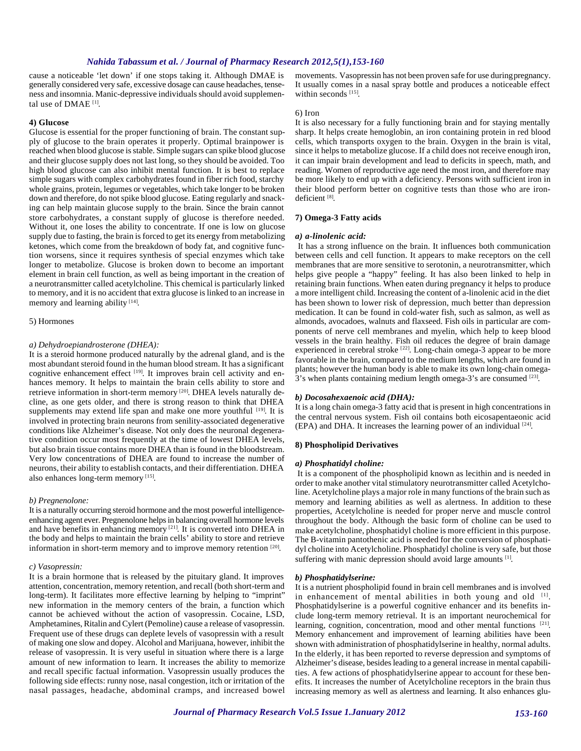cause a noticeable 'let down' if one stops taking it. Although DMAE is generally considered very safe, excessive dosage can cause headaches, tenseness and insomnia. Manic-depressive individuals should avoid supplemental use of DMAE [1] .

### **4) Glucose**

Glucose is essential for the proper functioning of brain. The constant supply of glucose to the brain operates it properly. Optimal brainpower is reached when blood glucose is stable. Simple sugars can spike blood glucose and their glucose supply does not last long, so they should be avoided. Too high blood glucose can also inhibit mental function. It is best to replace simple sugars with complex carbohydrates found in fiber rich food, starchy whole grains, protein, legumes or vegetables, which take longer to be broken down and therefore, do not spike blood glucose. Eating regularly and snacking can help maintain glucose supply to the brain. Since the brain cannot store carbohydrates, a constant supply of glucose is therefore needed. Without it, one loses the ability to concentrate. If one is low on glucose supply due to fasting, the brain is forced to get its energy from metabolizing ketones, which come from the breakdown of body fat, and cognitive function worsens, since it requires synthesis of special enzymes which take longer to metabolize. Glucose is broken down to become an important element in brain cell function, as well as being important in the creation of a neurotransmitter called acetylcholine. This chemical is particularly linked to memory, and it is no accident that extra glucose is linked to an increase in memory and learning ability [14].

#### 5) Hormones

#### *a) Dehydroepiandrosterone (DHEA):*

It is a steroid hormone produced naturally by the adrenal gland, and is the most abundant steroid found in the human blood stream. It has a significant cognitive enhancement effect <sup>[19]</sup>. It improves brain cell activity and enhances memory. It helps to maintain the brain cells ability to store and retrieve information in short-term memory [20]. DHEA levels naturally decline, as one gets older, and there is strong reason to think that DHEA supplements may extend life span and make one more youthful [19]. It is involved in protecting brain neurons from senility-associated degenerative conditions like Alzheimer's disease. Not only does the neuronal degenerative condition occur most frequently at the time of lowest DHEA levels, but also brain tissue contains more DHEA than is found in the bloodstream. Very low concentrations of DHEA are found to increase the number of neurons, their ability to establish contacts, and their differentiation. DHEA also enhances long-term memory [15].

#### *b) Pregnenolone:*

It is a naturally occurring steroid hormone and the most powerful intelligenceenhancing agent ever. Pregnenolone helps in balancing overall hormone levels and have benefits in enhancing memory <sup>[21]</sup>. It is converted into DHEA in the body and helps to maintain the brain cells' ability to store and retrieve information in short-term memory and to improve memory retention [20].

#### *c) Vasopressin:*

It is a brain hormone that is released by the pituitary gland. It improves attention, concentration, memory retention, and recall (both short-term and long-term). It facilitates more effective learning by helping to "imprint" new information in the memory centers of the brain, a function which cannot be achieved without the action of vasopressin. Cocaine, LSD, Amphetamines, Ritalin and Cylert (Pemoline) cause a release of vasopressin. Frequent use of these drugs can deplete levels of vasopressin with a result of making one slow and dopey. Alcohol and Marijuana, however, inhibit the release of vasopressin. It is very useful in situation where there is a large amount of new information to learn. It increases the ability to memorize and recall specific factual information. Vasopressin usually produces the following side effects: runny nose, nasal congestion, itch or irritation of the nasal passages, headache, abdominal cramps, and increased bowel movements. Vasopressin has not been proven safe for use during pregnancy. It usually comes in a nasal spray bottle and produces a noticeable effect within seconds<sup>[15]</sup>.

#### 6) Iron

It is also necessary for a fully functioning brain and for staying mentally sharp. It helps create hemoglobin, an iron containing protein in red blood cells, which transports oxygen to the brain. Oxygen in the brain is vital, since it helps to metabolize glucose. If a child does not receive enough iron, it can impair brain development and lead to deficits in speech, math, and reading. Women of reproductive age need the most iron, and therefore may be more likely to end up with a deficiency. Persons with sufficient iron in their blood perform better on cognitive tests than those who are irondeficient [8].

# **7) Omega-3 Fatty acids**

#### *a) a-linolenic acid:*

 It has a strong influence on the brain. It influences both communication between cells and cell function. It appears to make receptors on the cell membranes that are more sensitive to serotonin, a neurotransmitter, which helps give people a "happy" feeling. It has also been linked to help in retaining brain functions. When eaten during pregnancy it helps to produce a more intelligent child. Increasing the content of a-linolenic acid in the diet has been shown to lower risk of depression, much better than depression medication. It can be found in cold-water fish, such as salmon, as well as almonds, avocadoes, walnuts and flaxseed. Fish oils in particular are components of nerve cell membranes and myelin, which help to keep blood vessels in the brain healthy. Fish oil reduces the degree of brain damage experienced in cerebral stroke <sup>[22]</sup>. Long-chain omega-3 appear to be more favorable in the brain, compared to the medium lengths, which are found in plants; however the human body is able to make its own long-chain omega-3's when plants containing medium length omega-3's are consumed [23].

#### *b) Docosahexaenoic acid (DHA):*

It is a long chain omega-3 fatty acid that is present in high concentrations in the central nervous system. Fish oil contains both eicosapentaeonic acid (EPA) and DHA. It increases the learning power of an individual [24] .

#### **8) Phospholipid Derivatives**

# *a) Phosphatidyl choline:*

 It is a component of the phospholipid known as lecithin and is needed in order to make another vital stimulatory neurotransmitter called Acetylcholine. Acetylcholine plays a major role in many functions of the brain such as memory and learning abilities as well as alertness. In addition to these properties, Acetylcholine is needed for proper nerve and muscle control throughout the body. Although the basic form of choline can be used to make acetylcholine, phosphatidyl choline is more efficient in this purpose. The B-vitamin pantothenic acid is needed for the conversion of phosphatidyl choline into Acetylcholine. Phosphatidyl choline is very safe, but those suffering with manic depression should avoid large amounts [1].

#### *b) Phosphatidylserine:*

It is a nutrient phospholipid found in brain cell membranes and is involved in enhancement of mental abilities in both young and old [1]. Phosphatidylserine is a powerful cognitive enhancer and its benefits include long-term memory retrieval. It is an important neurochemical for learning, cognition, concentration, mood and other mental functions [21]. Memory enhancement and improvement of learning abilities have been shown with administration of phosphatidylserine in healthy, normal adults. In the elderly, it has been reported to reverse depression and symptoms of Alzheimer's disease, besides leading to a general increase in mental capabilities. A few actions of phosphatidylserine appear to account for these benefits. It increases the number of Acetylcholine receptors in the brain thus increasing memory as well as alertness and learning. It also enhances glu-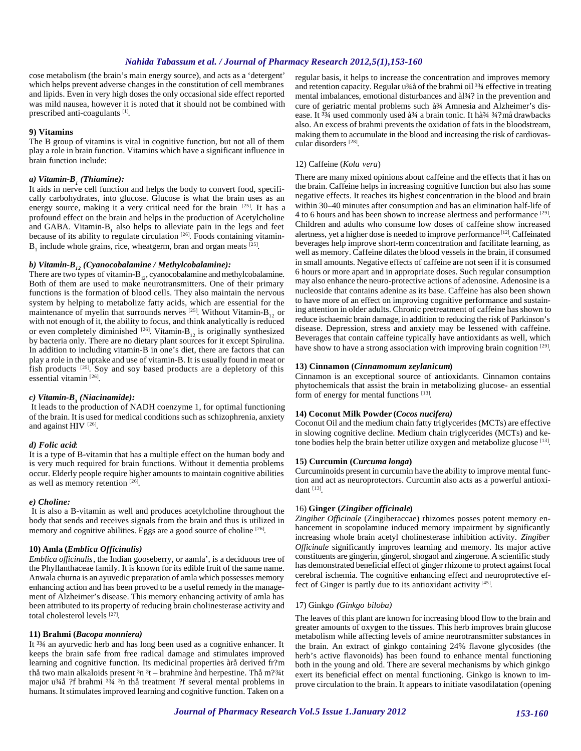cose metabolism (the brain's main energy source), and acts as a 'detergent' which helps prevent adverse changes in the constitution of cell membranes and lipids. Even in very high doses the only occasional side effect reported was mild nausea, however it is noted that it should not be combined with prescribed anti-coagulants<sup>[1]</sup>.

#### **9) Vitamins**

The B group of vitamins is vital in cognitive function, but not all of them play a role in brain function. Vitamins which have a significant influence in brain function include:

# *a) Vitamin-B<sup>1</sup> (Thiamine):*

It aids in nerve cell function and helps the body to convert food, specifically carbohydrates, into glucose. Glucose is what the brain uses as an energy source, making it a very critical need for the brain [25]. It has a profound effect on the brain and helps in the production of Acetylcholine and GABA. Vitamin- $B_1$  also helps to alleviate pain in the legs and feet because of its ability to regulate circulation  $[26]$ . Foods containing vitamin- $B_1$  include whole grains, rice, wheatgerm, bran and organ meats  $^{[25]}$ .

# *b) Vitamin-B12 (Cyanocobalamine / Methylcobalamine):*

There are two types of vitamin- $B_{12}$ , cyanocobalamine and methylcobalamine. Both of them are used to make neurotransmitters. One of their primary functions is the formation of blood cells. They also maintain the nervous system by helping to metabolize fatty acids, which are essential for the maintenance of myelin that surrounds nerves <sup>[25]</sup>. Without Vitamin-B<sub>12</sub> or with not enough of it, the ability to focus, and think analytically is reduced or even completely diminished <sup>[26]</sup>. Vitamin-B<sub>12</sub> is originally synthesized by bacteria only. There are no dietary plant sources for it except Spirulina. In addition to including vitamin-B in one's diet, there are factors that can play a role in the uptake and use of vitamin-B. It is usually found in meat or fish products <sup>[25]</sup>. Soy and soy based products are a depletory of this essential vitamin<sup>[26]</sup>.

# *c) Vitamin-B<sup>3</sup> (Niacinamide):*

 It leads to the production of NADH coenzyme 1, for optimal functioning of the brain. It is used for medical conditions such as schizophrenia, anxiety and against HIV [26].

#### *d) Folic acid*:

It is a type of B-vitamin that has a multiple effect on the human body and is very much required for brain functions. Without it dementia problems occur. Elderly people require higher amounts to maintain cognitive abilities as well as memory retention [26].

#### *e) Choline:*

 It is also a B-vitamin as well and produces acetylcholine throughout the body that sends and receives signals from the brain and thus is utilized in memory and cognitive abilities. Eggs are a good source of choline [26].

# **10) Amla (***Emblica Officinalis)*

*Emblica officinalis*, the Indian gooseberry, or aamla', is a deciduous tree of the Phyllanthaceae family. It is known for its edible fruit of the same name. Anwala churna is an ayuvedic preparation of amla which possesses memory enhancing action and has been proved to be a useful remedy in the management of Alzheimer's disease. This memory enhancing activity of amla has been attributed to its property of reducing brain cholinesterase activity and total cholesterol levels<sup>[27]</sup>.

# **11) Brahmi (***Bacopa monniera)*

It <sup>33</sup>/4 an ayurvedic herb and has long been used as a cognitive enhancer. It keeps the brain safe from free radical damage and stimulates improved learning and cognitive function. Its medicinal properties àrå derived fr?m thå two main alkaloids present  $3n - b$ rahmine ànd herpestine. Thå m? $3/4t$ major u¾å ?f brahmi 3¾ 3n thå treatment ?f several mental problems in humans. It stimulates improved learning and cognitive function. Taken on a

regular basis, it helps to increase the concentration and improves memory and retention capacity. Regular u¾å of the brahmi oil 3¾ effective in treating mental imbalances, emotional disturbances and àl¾? in the prevention and cure of geriatric mental problems such à 34 Amnesia and Alzheimer's disease. It <sup>33</sup>/4 used commonly used à 3⁄4 a brain tonic. It hà 3<sup>⁄4</sup> 3<sup>4</sup>?må drawbacks also. An excess of brahmi prevents the oxidation of fats in the bloodstream, making them to accumulate in the blood and increasing the risk of cardiovascular disorders [28] .

# 12) Caffeine (*Kola vera*)

There are many mixed opinions about caffeine and the effects that it has on the brain. Caffeine helps in increasing cognitive function but also has some negative effects. It reaches its highest concentration in the blood and brain within 30–40 minutes after consumption and has an elimination half-life of 4 to 6 hours and has been shown to increase alertness and performance [29]. Children and adults who consume low doses of caffeine show increased alertness, yet a higher dose is needed to improve performance [12]. Caffeinated beverages help improve short-term concentration and facilitate learning, as well as memory. Caffeine dilates the blood vessels in the brain, if consumed in small amounts. Negative effects of caffeine are not seen if it is consumed 6 hours or more apart and in appropriate doses. Such regular consumption may also enhance the neuro-protective actions of adenosine. Adenosine is a nucleoside that contains adenine as its base. Caffeine has also been shown to have more of an effect on improving cognitive performance and sustaining attention in older adults. Chronic pretreatment of caffeine has shown to reduce ischaemic brain damage, in addition to reducing the risk of Parkinson's disease. Depression, stress and anxiety may be lessened with caffeine. Beverages that contain caffeine typically have antioxidants as well, which have show to have a strong association with improving brain cognition [29].

#### **13) Cinnamon (***Cinnamomum zeylanicum***)**

Cinnamon is an exceptional source of antioxidants. Cinnamon contains phytochemicals that assist the brain in metabolizing glucose- an essential form of energy for mental functions [13].

# **14) Coconut Milk Powder (***Cocos nucifera)*

Coconut Oil and the medium chain fatty triglycerides (MCTs) are effective in slowing cognitive decline. Medium chain triglycerides (MCTs) and ketone bodies help the brain better utilize oxygen and metabolize glucose [13].

#### **15) Curcumin (***Curcuma longa***)**

Curcuminoids present in curcumin have the ability to improve mental function and act as neuroprotectors. Curcumin also acts as a powerful antioxidant [13] .

# 16) **Ginger (***Zingiber officinale***)**

*Zingiber Officinale* (Zingiberaccae) rhizomes posses potent memory enhancement in scopolamine induced memory impairment by significantly increasing whole brain acetyl cholinesterase inhibition activity. *Zingiber Officinale* significantly improves learning and memory. Its major active constituents are gingerin, gingerol, shogaol and zingerone. A scientific study has demonstrated beneficial effect of ginger rhizome to protect against focal cerebral ischemia. The cognitive enhancing effect and neuroprotective effect of Ginger is partly due to its antioxidant activity [45].

#### 17) Ginkgo *(Ginkgo biloba)*

The leaves of this plant are known for increasing blood flow to the brain and greater amounts of oxygen to the tissues. This herb improves brain glucose metabolism while affecting levels of amine neurotransmitter substances in the brain. An extract of ginkgo containing 24% flavone glycosides (the herb's active flavonoids) has been found to enhance mental functioning both in the young and old. There are several mechanisms by which ginkgo exert its beneficial effect on mental functioning. Ginkgo is known to improve circulation to the brain. It appears to initiate vasodilatation (opening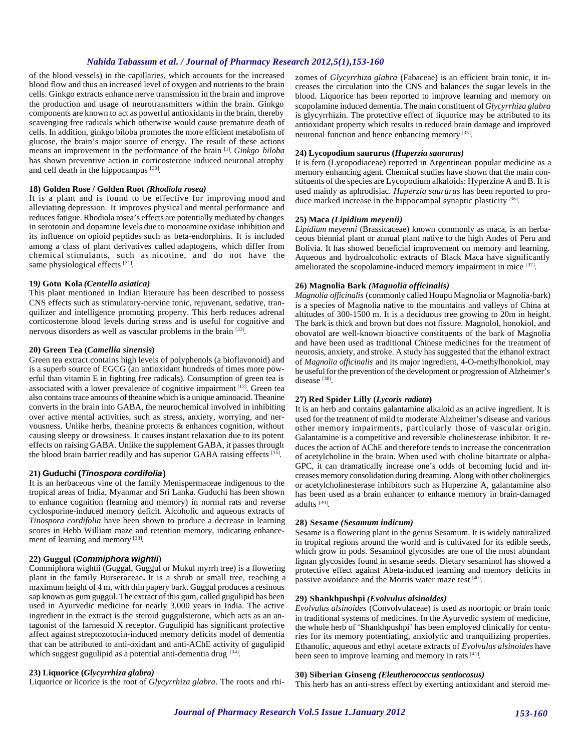of the blood vessels) in the capillaries, which accounts for the increased blood flow and thus an increased level of oxygen and nutrients to the brain cells. Ginkgo extracts enhance nerve transmission in the brain and improve the production and usage of neurotransmitters within the brain. Ginkgo components are known to act as powerful antioxidants in the brain, thereby scavenging free radicals which otherwise would cause premature death of cells. In addition, ginkgo biloba promotes the more efficient metabolism of glucose, the brain's major source of energy. The result of these actions means an improvement in the performance of the brain [1] . *Ginkgo biloba* has shown preventive action in corticosterone induced neuronal atrophy and cell death in the hippocampus [30].

#### **18) Golden Rose / Golden Root** *(Rhodiola rosea)*

It is a plant and is found to be effective for improving mood and alleviating depression. It improves physical and mental performance and reduces fatigue. Rhodiola rosea's effects are potentially mediated by changes in serotonin and dopamine levels due to monoamine oxidase inhibition and its influence on opioid peptides such as beta-endorphins. It is included among a class of plant derivatives called adaptogens, which differ from chemical stimulants, such as nicotine, and do not have the same physiological effects<sup>[31]</sup>.

#### **19***)* **Gotu Kola** *(Centella asiatica)*

This plant mentioned in Indian literature has been described to possess CNS effects such as stimulatory-nervine tonic, rejuvenant, sedative, tranquilizer and intelligence promoting property. This herb reduces adrenal corticosterone blood levels during stress and is useful for cognitive and nervous disorders as well as vascular problems in the brain [33].

### **20) Green Tea (***Camellia sinensis***)**

Green tea extract contains high levels of polyphenols (a bioflavonoid) and is a superb source of EGCG (an antioxidant hundreds of times more powerful than vitamin E in fighting free radicals). Consumption of green tea is associated with a lower prevalence of cognitive impairment [13]. Green tea also contains trace amounts of theanine which is a unique aminoacid. Theanine converts in the brain into GABA, the neurochemical involved in inhibiting over active mental activities, such as stress, anxiety, worrying, and nervousness. Unlike herbs, theanine protects & enhances cognition, without causing sleepy or drowsiness. It causes instant relaxation due to its potent effects on raising GABA. Unlike the supplement GABA, it passes through the blood brain barrier readily and has superior GABA raising effects [15].

# **21) Guduchi (***Tinospora cordifolia***)**

It is an herbaceous vine of the family Menispermaceae indigenous to the tropical areas of India, Myanmar and Sri Lanka. Guduchi has been shown to enhance cognition (learning and memory) in normal rats and reverse cyclosporine-induced memory deficit. Alcoholic and aqueous extracts of *Tinospora cordifolia* have been shown to produce a decrease in learning scores in Hebb William maze and retention memory, indicating enhancement of learning and memory [33].

# **22) Guggul (***Commiphora wightii*)

Commiphora wightii (Guggal, Guggul or Mukul myrrh tree) is a flowering plant in the family Burseraceae**.** It is a shrub or small tree, reaching a maximum height of 4 m, with thin papery bark. Guggul produces a resinous sap known as gum guggul. The extract of this gum, called gugulipid has been used in Ayurvedic medicine for nearly 3,000 years in India. The active ingredient in the extract is the steroid guggulsterone, which acts as an antagonist of the farnesoid X receptor. Gugulipid has significant protective affect against streptozotocin-induced memory deficits model of dementia that can be attributed to anti-oxidant and anti-AChE activity of gugulipid which suggest gugulipid as a potential anti-dementia drug [34].

# **23) Liquorice (***Glycyrrhiza glabra)*

Liquorice or licorice is the root of *Glycyrrhiza glabra*. The roots and rhi-

zomes of *Glycyrrhiza glabra* (Fabaceae) is an efficient brain tonic, it increases the circulation into the CNS and balances the sugar levels in the blood. Liquorice has been reported to improve learning and memory on scopolamine induced dementia. The main constituent of *Glycyrrhiza glabra* is glycyrrhizin. The protective effect of liquorice may be attributed to its antioxidant property which results in reduced brain damage and improved neuronal function and hence enhancing memory<sup>[35]</sup>.

### **24) Lycopodium saururus (***Huperzia saururus)*

It is fern (Lycopodiaceae) reported in Argentinean popular medicine as a memory enhancing agent. Chemical studies have shown that the main constituents of the species are Lycopodium alkaloids: Hyperzine A and B. It is used mainly as aphrodisiac. *Huperzia saururus* has been reported to produce marked increase in the hippocampal synaptic plasticity<sup>[36]</sup>.

#### **25) Maca** *(Lipidium meyenii)*

*Lipidium meyenni* (Brassicaceae) known commonly as maca, is an herbaceous biennial plant or annual plant native to the high Andes of Peru and Bolivia. It has showed beneficial improvement on memory and learning. Aqueous and hydroalcoholic extracts of Black Maca have significantly ameliorated the scopolamine-induced memory impairment in mice [37].

# **26) Magnolia Bark** *(Magnolia officinalis)*

*Magnolia officinalis* (commonly called Houpu Magnolia or Magnolia-bark) is a species of Magnolia native to the mountains and valleys of China at altitudes of 300-1500 m. It is a deciduous tree growing to 20m in height. The bark is thick and brown but does not fissure. Magnolol, honokiol, and obovatol are well-known bioactive constituents of the bark of Magnolia and have been used as traditional Chinese medicines for the treatment of neurosis, anxiety, and stroke. A study has suggested that the ethanol extract of *Magnolia officinalis* and its major ingredient, 4-O-methylhonokiol, may be useful for the prevention of the development or progression of Alzheimer's disease<sup>[38]</sup>.

#### **27) Red Spider Lilly (***Lycoris radiata***)**

It is an herb and contains galantamine alkaloid as an active ingredient. It is used for the treatment of mild to moderate Alzheimer's disease and various other memory impairments, particularly those of vascular origin. Galantamine is a competitive and reversible cholinesterase inhibitor. It reduces the action of AChE and therefore tends to increase the concentration of acetylcholine in the brain. When used with choline bitartrate or alpha-GPC, it can dramatically increase one's odds of becoming lucid and increases memory consolidation during dreaming. Along with other cholinergics or acetylcholinesterase inhibitors such as Huperzine A, galantamine also has been used as a brain enhancer to enhance memory in brain-damaged adults<sup>[39]</sup>.

### **28) Sesame** *(Sesamum indicum)*

Sesame is a flowering plant in the genus Sesamum. It is widely naturalized in tropical regions around the world and is cultivated for its edible seeds, which grow in pods. Sesaminol glycosides are one of the most abundant lignan glycosides found in sesame seeds. Dietary sesaminol has showed a protective effect against Abeta-induced learning and memory deficits in passive avoidance and the Morris water maze test [40].

### **29) Shankhpushpi** *(Evolvulus alsinoides)*

*Evolvulus alsinoides* (Convolvulaceae) is used as noortopic or brain tonic in traditional systems of medicines. In the Ayurvedic system of medicine, the whole herb of 'Shankhpushpi' has been employed clinically for centuries for its memory potentiating, anxiolytic and tranquilizing properties. Ethanolic, aqueous and ethyl acetate extracts of *Evolvulus alsinoides* have been seen to improve learning and memory in rats [41].

#### **30) Siberian Ginseng** *(Eleutherococcus sentiocosus)*

This herb has an anti-stress effect by exerting antioxidant and steroid me-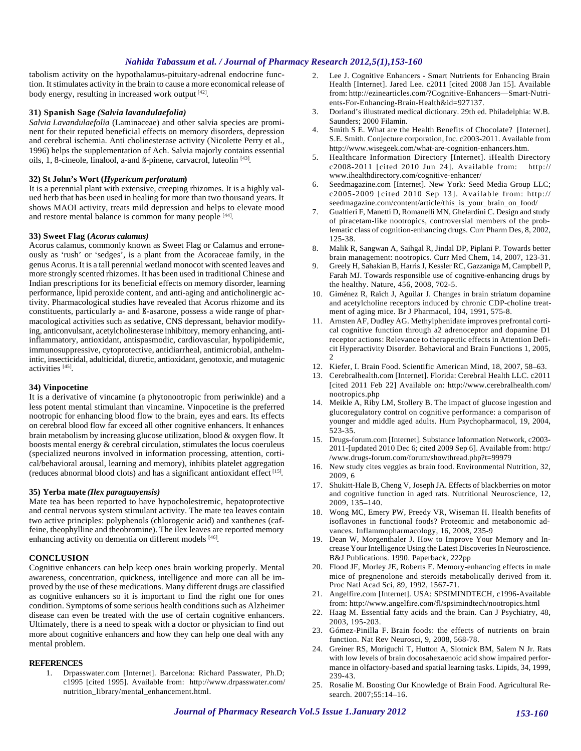tabolism activity on the hypothalamus-pituitary-adrenal endocrine function. It stimulates activity in the brain to cause a more economical release of body energy, resulting in increased work output [42].

# **31) Spanish Sage** *(Salvia lavandulaefolia)*

*Salvia Lavandulaefolia* (Laminaceae) and other salvia species are prominent for their reputed beneficial effects on memory disorders, depression and cerebral ischemia. Anti cholinesterase activity (Nicolette Perry et al., 1996) helps the supplementation of Ach. Salvia majorly contains essential oils, 1, 8-cineole, linalool, a-and ß-pinene, carvacrol, luteolin<sup>[43]</sup>.

# **32) St John's Wort (***Hypericum perforatum***)**

It is a perennial plant with extensive, creeping rhizomes. It is a highly valued herb that has been used in healing for more than two thousand years. It shows MAOI activity, treats mild depression and helps to elevate mood and restore mental balance is common for many people [44].

# **33) Sweet Flag (***Acorus calamus)*

Acorus calamus, commonly known as Sweet Flag or Calamus and erroneously as 'rush' or 'sedges', is a plant from the Acoraceae family, in the genus Acorus. It is a tall perennial wetland monocot with scented leaves and more strongly scented rhizomes. It has been used in traditional Chinese and Indian prescriptions for its beneficial effects on memory disorder, learning performance, lipid peroxide content, and anti-aging and anticholinergic activity. Pharmacological studies have revealed that Acorus rhizome and its constituents, particularly a- and ß-asarone, possess a wide range of pharmacological activities such as sedative, CNS depressant, behavior modifying, anticonvulsant, acetylcholinesterase inhibitory, memory enhancing, antiinflammatory, antioxidant, antispasmodic, cardiovascular, hypolipidemic, immunosuppressive, cytoprotective, antidiarrheal, antimicrobial, anthelmintic, insecticidal, adulticidal, diuretic, antioxidant, genotoxic, and mutagenic activities<sup>[45]</sup>.

# **34) Vinpocetine**

It is a derivative of vincamine (a phytonootropic from periwinkle) and a less potent mental stimulant than vincamine. Vinpocetine is the preferred nootropic for enhancing blood flow to the brain, eyes and ears. Its effects on cerebral blood flow far exceed all other cognitive enhancers. It enhances brain metabolism by increasing glucose utilization, blood & oxygen flow. It boosts mental energy & cerebral circulation, stimulates the locus coeruleus (specialized neurons involved in information processing, attention, cortical/behavioral arousal, learning and memory), inhibits platelet aggregation (reduces abnormal blood clots) and has a significant antioxidant effect [15] .

# **35) Yerba mate** *(Ilex paraguayensis)*

Mate tea has been reported to have hypocholestremic, hepatoprotective and central nervous system stimulant activity. The mate tea leaves contain two active principles: polyphenols (chlorogenic acid) and xanthenes (caffeine, theophylline and theobromine). The ilex leaves are reported memory enhancing activity on dementia on different models [46].

# **CONCLUSION**

Cognitive enhancers can help keep ones brain working properly. Mental awareness, concentration, quickness, intelligence and more can all be improved by the use of these medications. Many different drugs are classified as cognitive enhancers so it is important to find the right one for ones condition. Symptoms of some serious health conditions such as Alzheimer disease can even be treated with the use of certain cognitive enhancers. Ultimately, there is a need to speak with a doctor or physician to find out more about cognitive enhancers and how they can help one deal with any mental problem.

# **REFERENCES**

1. Drpasswater.com [Internet]. Barcelona: Richard Passwater, Ph.D; c1995 [cited 1995]. Available from: http://www.drpasswater.com/ nutrition\_library/mental\_enhancement.html.

- 2. Lee J. Cognitive Enhancers Smart Nutrients for Enhancing Brain Health [Internet]. Jared Lee. c2011 [cited 2008 Jan 15]. Available from: http://ezinearticles.com/?Cognitive-Enhancers—Smart-Nutrients-For-Enhancing-Brain-Health&id=927137.
- 3. Dorland's illustrated medical dictionary. 29th ed. Philadelphia: W.B. Saunders; 2000 Filamin.
- 4. Smith S E. What are the Health Benefits of Chocolate? [Internet]. S.E. Smith. Conjecture corporation, Inc. c2003-2011. Available from http://www.wisegeek.com/what-are-cognition-enhancers.htm.
- 5. Healthcare Information Directory [Internet]. iHealth Directory c2008-2011 [cited 2010 Jun 24]. Available from: http:// www.ihealthdirectory.com/cognitive-enhancer/
- 6. Seedmagazine.com [Internet]. New York: Seed Media Group LLC; c2005-2009 [cited 2010 Sep 13]. Available from: http:// seedmagazine.com/content/article/this\_is\_your\_brain\_on\_food/
- 7. Gualtieri F, Manetti D, Romanelli MN, Ghelardini C. Design and study of piracetam-like nootropics, controversial members of the problematic class of cognition-enhancing drugs. Curr Pharm Des, 8, 2002, 125-38.
- 8. Malik R, Sangwan A, Saihgal R, Jindal DP, Piplani P. Towards better brain management: nootropics. Curr Med Chem, 14, 2007, 123-31.
- 9. Greely H, Sahakian B, Harris J, Kessler RC, Gazzaniga M, Campbell P, Farah MJ. Towards responsible use of cognitive-enhancing drugs by the healthy. Nature, 456, 2008, 702-5.
- 10. Giménez R, Raïch J, Aguilar J. Changes in brain striatum dopamine and acetylcholine receptors induced by chronic CDP-choline treatment of aging mice. Br J Pharmacol, 104, 1991, 575-8.
- 11. Arnsten AF, Dudley AG. Methylphenidate improves prefrontal cortical cognitive function through a2 adrenoceptor and dopamine D1 receptor actions: Relevance to therapeutic effects in Attention Deficit Hyperactivity Disorder. Behavioral and Brain Functions 1, 2005,  $\mathcal{D}$
- 12. Kiefer, I. Brain Food. Scientific American Mind, 18, 2007, 58–63.
- 13. Cerebralhealth.com [Internet]. Florida: Cerebral Health LLC. c2011 [cited 2011 Feb 22] Available on: http://www.cerebralhealth.com/ nootropics.php
- 14. Meikle A, Riby LM, Stollery B. The impact of glucose ingestion and glucoregulatory control on cognitive performance: a comparison of younger and middle aged adults. Hum Psychopharmacol, 19, 2004, 523-35.
- 15. Drugs-forum.com [Internet]. Substance Information Network, c2003- 2011-[updated 2010 Dec 6; cited 2009 Sep 6]. Available from: http:/ /www.drugs-forum.com/forum/showthread.php?t=99979
- 16. New study cites veggies as brain food. Environmental Nutrition, 32, 2009, 6
- 17. Shukitt-Hale B, Cheng V, Joseph JA. Effects of blackberries on motor and cognitive function in aged rats. Nutritional Neuroscience, 12, 2009, 135–140.
- 18. Wong MC, Emery PW, Preedy VR, Wiseman H. Health benefits of isoflavones in functional foods? Proteomic and metabonomic advances. Inflammopharmacology, 16, 2008, 235-9
- 19. Dean W, Morgenthaler J. How to Improve Your Memory and Increase Your Intelligence Using the Latest Discoveries In Neuroscience. B&J Publications. 1990. Paperback, 222pp
- 20. Flood JF, Morley JE, Roberts E. Memory-enhancing effects in male mice of pregnenolone and steroids metabolically derived from it. Proc Natl Acad Sci, 89, 1992, 1567-71.
- 21. Angelfire.com [Internet]. USA: SPSIMINDTECH, c1996-Available from: http://www.angelfire.com/fl/spsimindtech/nootropics.html
- 22. Haag M. Essential fatty acids and the brain. Can J Psychiatry, 48, 2003, 195-203.
- 23. Gómez-Pinilla F. Brain foods: the effects of nutrients on brain function. Nat Rev Neurosci, 9, 2008, 568-78.
- 24. Greiner RS, Moriguchi T, Hutton A, Slotnick BM, Salem N Jr. Rats with low levels of brain docosahexaenoic acid show impaired performance in olfactory-based and spatial learning tasks. Lipids, 34, 1999, 239-43.
- 25. Rosalie M. Boosting Our Knowledge of Brain Food. Agricultural Research. 2007;55:14–16.